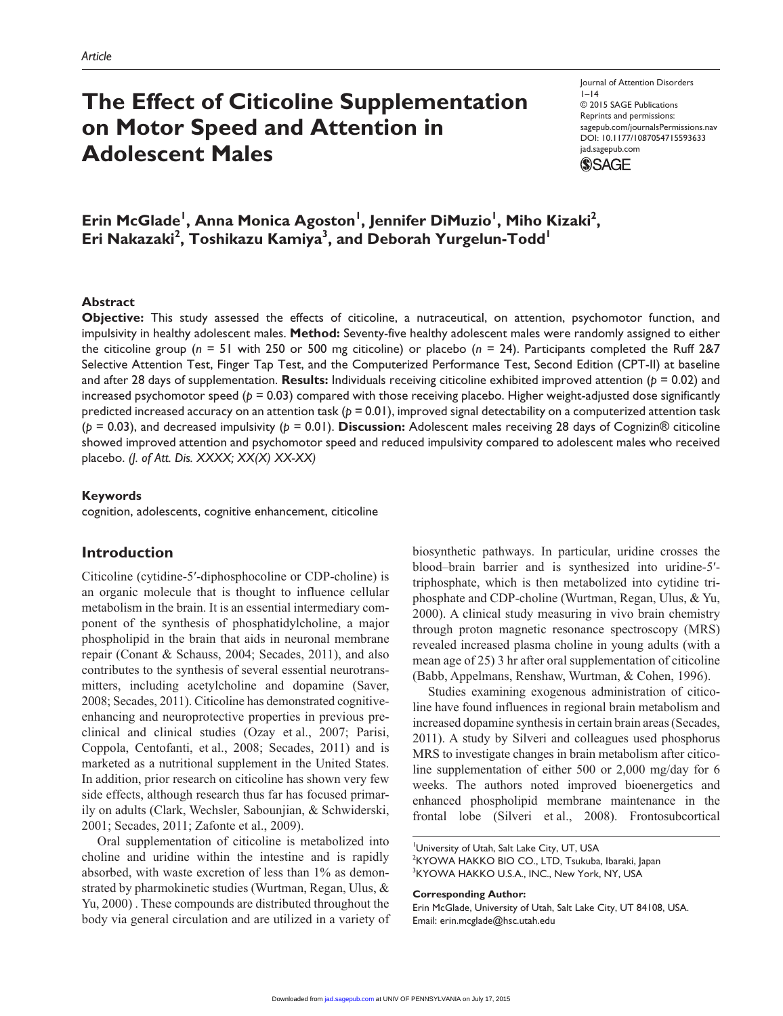# **The Effect of Citicoline Supplementation on Motor Speed and Attention in Adolescent Males**

Journal of Attention Disorders  $1-14$ © 2015 SAGE Publications Reprints and permissions: sagepub.com/journalsPermissions.nav DOI: 10.1177/1087054715593633 jad.sagepub.com **SSAGE** 

# Erin McGlade<sup>1</sup>, Anna Monica Agoston<sup>1</sup>, Jennifer DiMuzio<sup>1</sup>, Miho Kizaki<sup>2</sup>, Eri Nakazaki<sup>2</sup>, Toshikazu Kamiya<sup>3</sup>, and Deborah Yurgelun-Todd<sup>1</sup>

#### **Abstract**

**Objective:** This study assessed the effects of citicoline, a nutraceutical, on attention, psychomotor function, and impulsivity in healthy adolescent males. **Method:** Seventy-five healthy adolescent males were randomly assigned to either the citicoline group (*n* = 51 with 250 or 500 mg citicoline) or placebo (*n* = 24). Participants completed the Ruff 2&7 Selective Attention Test, Finger Tap Test, and the Computerized Performance Test, Second Edition (CPT-II) at baseline and after 28 days of supplementation. **Results:** Individuals receiving citicoline exhibited improved attention (*p* = 0.02) and increased psychomotor speed (*p* = 0.03) compared with those receiving placebo. Higher weight-adjusted dose significantly predicted increased accuracy on an attention task (*p* = 0.01), improved signal detectability on a computerized attention task (*p* = 0.03), and decreased impulsivity (*p* = 0.01). **Discussion:** Adolescent males receiving 28 days of Cognizin® citicoline showed improved attention and psychomotor speed and reduced impulsivity compared to adolescent males who received placebo. *(J. of Att. Dis. XXXX; XX(X) XX-XX)*

#### **Keywords**

cognition, adolescents, cognitive enhancement, citicoline

#### **Introduction**

Citicoline (cytidine-5′-diphosphocoline or CDP-choline) is an organic molecule that is thought to influence cellular metabolism in the brain. It is an essential intermediary component of the synthesis of phosphatidylcholine, a major phospholipid in the brain that aids in neuronal membrane repair (Conant & Schauss, 2004; Secades, 2011), and also contributes to the synthesis of several essential neurotransmitters, including acetylcholine and dopamine (Saver, 2008; Secades, 2011). Citicoline has demonstrated cognitiveenhancing and neuroprotective properties in previous preclinical and clinical studies (Ozay et al., 2007; Parisi, Coppola, Centofanti, et al., 2008; Secades, 2011) and is marketed as a nutritional supplement in the United States. In addition, prior research on citicoline has shown very few side effects, although research thus far has focused primarily on adults (Clark, Wechsler, Sabounjian, & Schwiderski, 2001; Secades, 2011; Zafonte et al., 2009).

Oral supplementation of citicoline is metabolized into choline and uridine within the intestine and is rapidly absorbed, with waste excretion of less than 1% as demonstrated by pharmokinetic studies (Wurtman, Regan, Ulus, & Yu, 2000) . These compounds are distributed throughout the body via general circulation and are utilized in a variety of biosynthetic pathways. In particular, uridine crosses the blood–brain barrier and is synthesized into uridine-5′ triphosphate, which is then metabolized into cytidine triphosphate and CDP-choline (Wurtman, Regan, Ulus, & Yu, 2000). A clinical study measuring in vivo brain chemistry through proton magnetic resonance spectroscopy (MRS) revealed increased plasma choline in young adults (with a mean age of 25) 3 hr after oral supplementation of citicoline (Babb, Appelmans, Renshaw, Wurtman, & Cohen, 1996).

Studies examining exogenous administration of citicoline have found influences in regional brain metabolism and increased dopamine synthesis in certain brain areas (Secades, 2011). A study by Silveri and colleagues used phosphorus MRS to investigate changes in brain metabolism after citicoline supplementation of either 500 or 2,000 mg/day for 6 weeks. The authors noted improved bioenergetics and enhanced phospholipid membrane maintenance in the frontal lobe (Silveri et al., 2008). Frontosubcortical

University of Utah, Salt Lake City, UT, USA 2 KYOWA HAKKO BIO CO., LTD, Tsukuba, Ibaraki, Japan 3 KYOWA HAKKO U.S.A., INC., New York, NY, USA

#### **Corresponding Author:**

Erin McGlade, University of Utah, Salt Lake City, UT 84108, USA. Email: erin.mcglade@hsc.utah.edu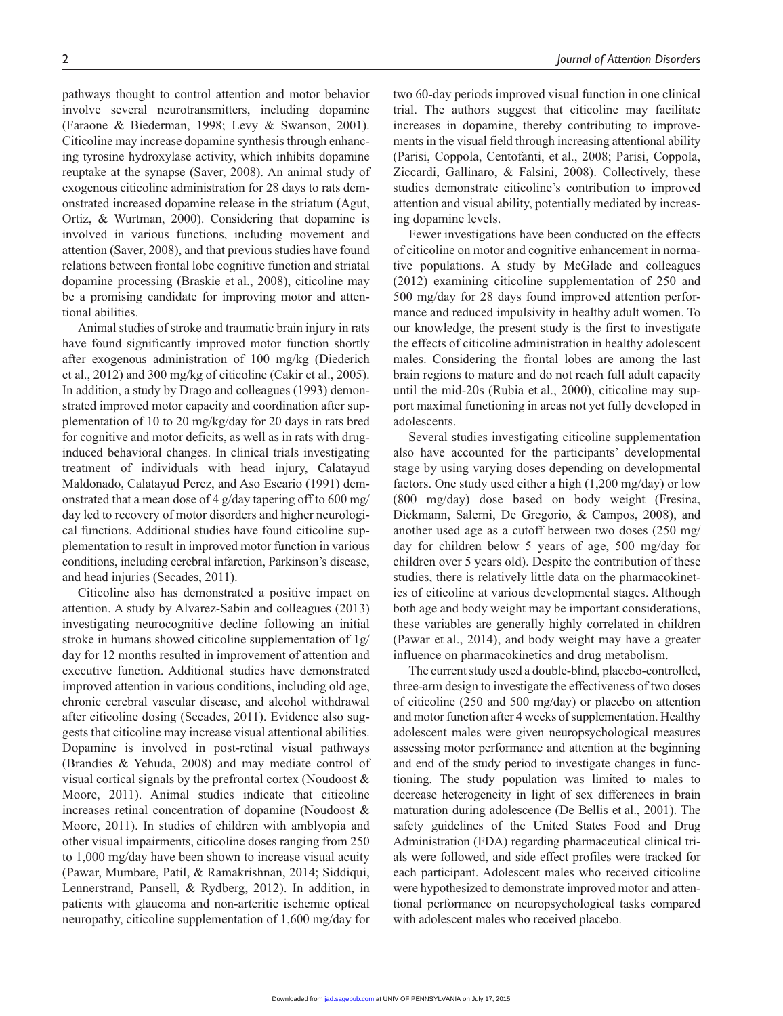pathways thought to control attention and motor behavior involve several neurotransmitters, including dopamine (Faraone & Biederman, 1998; Levy & Swanson, 2001). Citicoline may increase dopamine synthesis through enhancing tyrosine hydroxylase activity, which inhibits dopamine reuptake at the synapse (Saver, 2008). An animal study of exogenous citicoline administration for 28 days to rats demonstrated increased dopamine release in the striatum (Agut, Ortiz, & Wurtman, 2000). Considering that dopamine is involved in various functions, including movement and attention (Saver, 2008), and that previous studies have found relations between frontal lobe cognitive function and striatal dopamine processing (Braskie et al., 2008), citicoline may be a promising candidate for improving motor and attentional abilities.

Animal studies of stroke and traumatic brain injury in rats have found significantly improved motor function shortly after exogenous administration of 100 mg/kg (Diederich et al., 2012) and 300 mg/kg of citicoline (Cakir et al., 2005). In addition, a study by Drago and colleagues (1993) demonstrated improved motor capacity and coordination after supplementation of 10 to 20 mg/kg/day for 20 days in rats bred for cognitive and motor deficits, as well as in rats with druginduced behavioral changes. In clinical trials investigating treatment of individuals with head injury, Calatayud Maldonado, Calatayud Perez, and Aso Escario (1991) demonstrated that a mean dose of 4 g/day tapering off to 600 mg/ day led to recovery of motor disorders and higher neurological functions. Additional studies have found citicoline supplementation to result in improved motor function in various conditions, including cerebral infarction, Parkinson's disease, and head injuries (Secades, 2011).

Citicoline also has demonstrated a positive impact on attention. A study by Alvarez-Sabin and colleagues (2013) investigating neurocognitive decline following an initial stroke in humans showed citicoline supplementation of 1g/ day for 12 months resulted in improvement of attention and executive function. Additional studies have demonstrated improved attention in various conditions, including old age, chronic cerebral vascular disease, and alcohol withdrawal after citicoline dosing (Secades, 2011). Evidence also suggests that citicoline may increase visual attentional abilities. Dopamine is involved in post-retinal visual pathways (Brandies & Yehuda, 2008) and may mediate control of visual cortical signals by the prefrontal cortex (Noudoost & Moore, 2011). Animal studies indicate that citicoline increases retinal concentration of dopamine (Noudoost & Moore, 2011). In studies of children with amblyopia and other visual impairments, citicoline doses ranging from 250 to 1,000 mg/day have been shown to increase visual acuity (Pawar, Mumbare, Patil, & Ramakrishnan, 2014; Siddiqui, Lennerstrand, Pansell, & Rydberg, 2012). In addition, in patients with glaucoma and non-arteritic ischemic optical neuropathy, citicoline supplementation of 1,600 mg/day for

two 60-day periods improved visual function in one clinical trial. The authors suggest that citicoline may facilitate increases in dopamine, thereby contributing to improvements in the visual field through increasing attentional ability (Parisi, Coppola, Centofanti, et al., 2008; Parisi, Coppola, Ziccardi, Gallinaro, & Falsini, 2008). Collectively, these studies demonstrate citicoline's contribution to improved attention and visual ability, potentially mediated by increasing dopamine levels.

Fewer investigations have been conducted on the effects of citicoline on motor and cognitive enhancement in normative populations. A study by McGlade and colleagues (2012) examining citicoline supplementation of 250 and 500 mg/day for 28 days found improved attention performance and reduced impulsivity in healthy adult women. To our knowledge, the present study is the first to investigate the effects of citicoline administration in healthy adolescent males. Considering the frontal lobes are among the last brain regions to mature and do not reach full adult capacity until the mid-20s (Rubia et al., 2000), citicoline may support maximal functioning in areas not yet fully developed in adolescents.

Several studies investigating citicoline supplementation also have accounted for the participants' developmental stage by using varying doses depending on developmental factors. One study used either a high (1,200 mg/day) or low (800 mg/day) dose based on body weight (Fresina, Dickmann, Salerni, De Gregorio, & Campos, 2008), and another used age as a cutoff between two doses (250 mg/ day for children below 5 years of age, 500 mg/day for children over 5 years old). Despite the contribution of these studies, there is relatively little data on the pharmacokinetics of citicoline at various developmental stages. Although both age and body weight may be important considerations, these variables are generally highly correlated in children (Pawar et al., 2014), and body weight may have a greater influence on pharmacokinetics and drug metabolism.

The current study used a double-blind, placebo-controlled, three-arm design to investigate the effectiveness of two doses of citicoline (250 and 500 mg/day) or placebo on attention and motor function after 4 weeks of supplementation. Healthy adolescent males were given neuropsychological measures assessing motor performance and attention at the beginning and end of the study period to investigate changes in functioning. The study population was limited to males to decrease heterogeneity in light of sex differences in brain maturation during adolescence (De Bellis et al., 2001). The safety guidelines of the United States Food and Drug Administration (FDA) regarding pharmaceutical clinical trials were followed, and side effect profiles were tracked for each participant. Adolescent males who received citicoline were hypothesized to demonstrate improved motor and attentional performance on neuropsychological tasks compared with adolescent males who received placebo.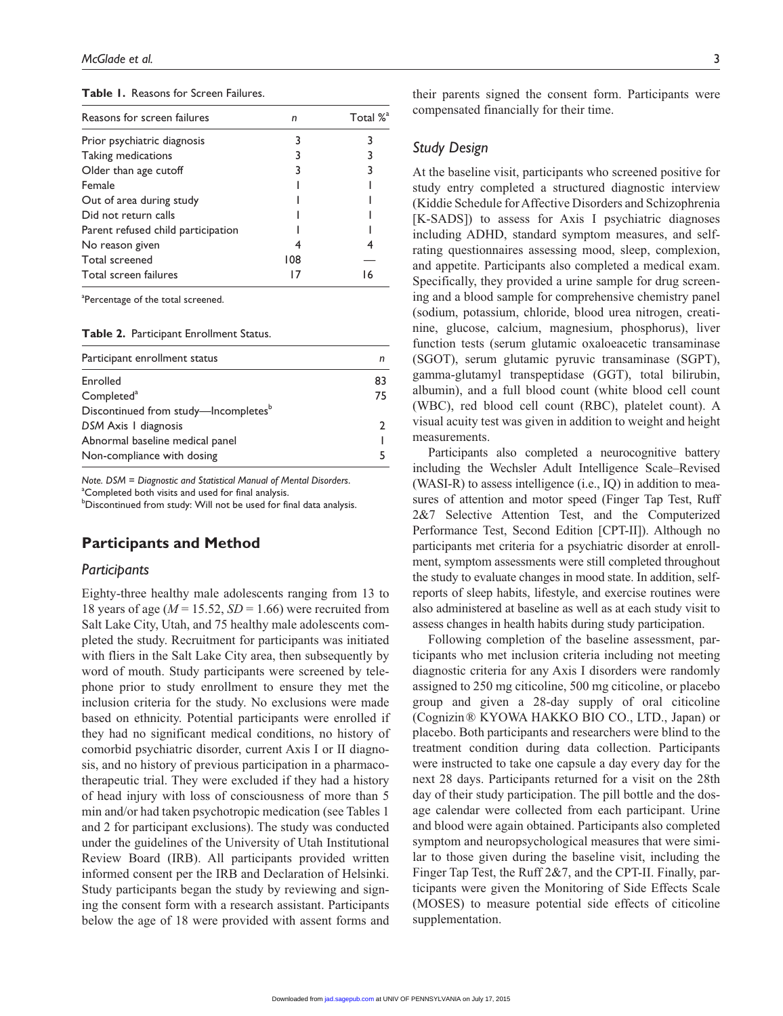|  |  | <b>Table 1.</b> Reasons for Screen Failures. |  |
|--|--|----------------------------------------------|--|
|--|--|----------------------------------------------|--|

| Reasons for screen failures        | n   | Total % <sup>a</sup> |
|------------------------------------|-----|----------------------|
| Prior psychiatric diagnosis        |     |                      |
| Taking medications                 |     |                      |
| Older than age cutoff              |     |                      |
| Female                             |     |                      |
| Out of area during study           |     |                      |
| Did not return calls               |     |                      |
| Parent refused child participation |     |                      |
| No reason given                    |     |                      |
| Total screened                     | 108 |                      |
| Total screen failures              |     | 16                   |

<sup>a</sup>Percentage of the total screened.

**Table 2.** Participant Enrollment Status.

| Participant enrollment status                    | n  |
|--------------------------------------------------|----|
| Enrolled                                         | 83 |
| Completed <sup>a</sup>                           | 75 |
| Discontinued from study-Incompletes <sup>b</sup> |    |
| DSM Axis I diagnosis                             |    |
| Abnormal baseline medical panel                  |    |
| Non-compliance with dosing                       |    |

*Note. DSM* = *Diagnostic and Statistical Manual of Mental Disorders*. <sup>a</sup>Completed both visits and used for final analysis.

 $^{\circ}$ Discontinued from study: Will not be used for final data analysis.

### **Participants and Method**

#### *Participants*

Eighty-three healthy male adolescents ranging from 13 to 18 years of age  $(M = 15.52, SD = 1.66)$  were recruited from Salt Lake City, Utah, and 75 healthy male adolescents completed the study. Recruitment for participants was initiated with fliers in the Salt Lake City area, then subsequently by word of mouth. Study participants were screened by telephone prior to study enrollment to ensure they met the inclusion criteria for the study. No exclusions were made based on ethnicity. Potential participants were enrolled if they had no significant medical conditions, no history of comorbid psychiatric disorder, current Axis I or II diagnosis, and no history of previous participation in a pharmacotherapeutic trial. They were excluded if they had a history of head injury with loss of consciousness of more than 5 min and/or had taken psychotropic medication (see Tables 1 and 2 for participant exclusions). The study was conducted under the guidelines of the University of Utah Institutional Review Board (IRB). All participants provided written informed consent per the IRB and Declaration of Helsinki. Study participants began the study by reviewing and signing the consent form with a research assistant. Participants below the age of 18 were provided with assent forms and

their parents signed the consent form. Participants were compensated financially for their time.

#### *Study Design*

At the baseline visit, participants who screened positive for study entry completed a structured diagnostic interview (Kiddie Schedule for Affective Disorders and Schizophrenia [K-SADS]) to assess for Axis I psychiatric diagnoses including ADHD, standard symptom measures, and selfrating questionnaires assessing mood, sleep, complexion, and appetite. Participants also completed a medical exam. Specifically, they provided a urine sample for drug screening and a blood sample for comprehensive chemistry panel (sodium, potassium, chloride, blood urea nitrogen, creatinine, glucose, calcium, magnesium, phosphorus), liver function tests (serum glutamic oxaloeacetic transaminase (SGOT), serum glutamic pyruvic transaminase (SGPT), gamma-glutamyl transpeptidase (GGT), total bilirubin, albumin), and a full blood count (white blood cell count (WBC), red blood cell count (RBC), platelet count). A visual acuity test was given in addition to weight and height measurements.

Participants also completed a neurocognitive battery including the Wechsler Adult Intelligence Scale–Revised (WASI-R) to assess intelligence (i.e., IQ) in addition to measures of attention and motor speed (Finger Tap Test, Ruff 2&7 Selective Attention Test, and the Computerized Performance Test, Second Edition [CPT-II]). Although no participants met criteria for a psychiatric disorder at enrollment, symptom assessments were still completed throughout the study to evaluate changes in mood state. In addition, selfreports of sleep habits, lifestyle, and exercise routines were also administered at baseline as well as at each study visit to assess changes in health habits during study participation.

Following completion of the baseline assessment, participants who met inclusion criteria including not meeting diagnostic criteria for any Axis I disorders were randomly assigned to 250 mg citicoline, 500 mg citicoline, or placebo group and given a 28-day supply of oral citicoline (Cognizin® KYOWA HAKKO BIO CO., LTD., Japan) or placebo. Both participants and researchers were blind to the treatment condition during data collection. Participants were instructed to take one capsule a day every day for the next 28 days. Participants returned for a visit on the 28th day of their study participation. The pill bottle and the dosage calendar were collected from each participant. Urine and blood were again obtained. Participants also completed symptom and neuropsychological measures that were similar to those given during the baseline visit, including the Finger Tap Test, the Ruff 2&7, and the CPT-II. Finally, participants were given the Monitoring of Side Effects Scale (MOSES) to measure potential side effects of citicoline supplementation.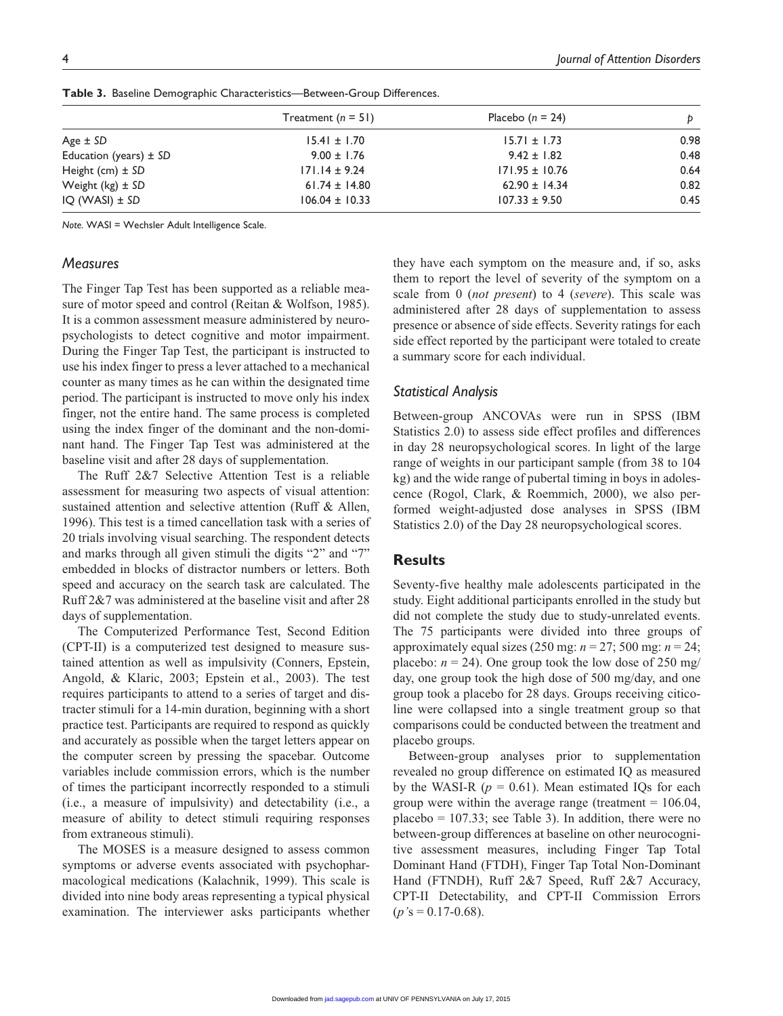|                            | Treatment $(n = 51)$ | Placebo $(n = 24)$ | Þ    |
|----------------------------|----------------------|--------------------|------|
| Age $\pm$ SD               | $15.41 \pm 1.70$     | $15.71 \pm 1.73$   | 0.98 |
| Education (years) $\pm$ SD | $9.00 \pm 1.76$      | $9.42 \pm 1.82$    | 0.48 |
| Height (cm) $\pm$ SD       | $171.14 \pm 9.24$    | $171.95 \pm 10.76$ | 0.64 |
| Weight $(kg) \pm SD$       | $61.74 \pm 14.80$    | $62.90 \pm 14.34$  | 0.82 |
| $IQ (WASI) \pm SD$         | $106.04 \pm 10.33$   | $107.33 \pm 9.50$  | 0.45 |

**Table 3.** Baseline Demographic Characteristics—Between-Group Differences.

*Note.* WASI = Wechsler Adult Intelligence Scale.

#### *Measures*

The Finger Tap Test has been supported as a reliable measure of motor speed and control (Reitan & Wolfson, 1985). It is a common assessment measure administered by neuropsychologists to detect cognitive and motor impairment. During the Finger Tap Test, the participant is instructed to use his index finger to press a lever attached to a mechanical counter as many times as he can within the designated time period. The participant is instructed to move only his index finger, not the entire hand. The same process is completed using the index finger of the dominant and the non-dominant hand. The Finger Tap Test was administered at the baseline visit and after 28 days of supplementation.

The Ruff 2&7 Selective Attention Test is a reliable assessment for measuring two aspects of visual attention: sustained attention and selective attention (Ruff & Allen, 1996). This test is a timed cancellation task with a series of 20 trials involving visual searching. The respondent detects and marks through all given stimuli the digits "2" and "7" embedded in blocks of distractor numbers or letters. Both speed and accuracy on the search task are calculated. The Ruff 2&7 was administered at the baseline visit and after 28 days of supplementation.

The Computerized Performance Test, Second Edition (CPT-II) is a computerized test designed to measure sustained attention as well as impulsivity (Conners, Epstein, Angold, & Klaric, 2003; Epstein et al., 2003). The test requires participants to attend to a series of target and distracter stimuli for a 14-min duration, beginning with a short practice test. Participants are required to respond as quickly and accurately as possible when the target letters appear on the computer screen by pressing the spacebar. Outcome variables include commission errors, which is the number of times the participant incorrectly responded to a stimuli (i.e., a measure of impulsivity) and detectability (i.e., a measure of ability to detect stimuli requiring responses from extraneous stimuli).

The MOSES is a measure designed to assess common symptoms or adverse events associated with psychopharmacological medications (Kalachnik, 1999). This scale is divided into nine body areas representing a typical physical examination. The interviewer asks participants whether they have each symptom on the measure and, if so, asks them to report the level of severity of the symptom on a scale from 0 (*not present*) to 4 (*severe*). This scale was administered after 28 days of supplementation to assess presence or absence of side effects. Severity ratings for each side effect reported by the participant were totaled to create a summary score for each individual.

#### *Statistical Analysis*

Between-group ANCOVAs were run in SPSS (IBM Statistics 2.0) to assess side effect profiles and differences in day 28 neuropsychological scores. In light of the large range of weights in our participant sample (from 38 to 104 kg) and the wide range of pubertal timing in boys in adolescence (Rogol, Clark, & Roemmich, 2000), we also performed weight-adjusted dose analyses in SPSS (IBM Statistics 2.0) of the Day 28 neuropsychological scores.

#### **Results**

Seventy-five healthy male adolescents participated in the study. Eight additional participants enrolled in the study but did not complete the study due to study-unrelated events. The 75 participants were divided into three groups of approximately equal sizes (250 mg: *n* = 27; 500 mg: *n* = 24; placebo:  $n = 24$ ). One group took the low dose of 250 mg/ day, one group took the high dose of 500 mg/day, and one group took a placebo for 28 days. Groups receiving citicoline were collapsed into a single treatment group so that comparisons could be conducted between the treatment and placebo groups.

Between-group analyses prior to supplementation revealed no group difference on estimated IQ as measured by the WASI-R  $(p = 0.61)$ . Mean estimated IQs for each group were within the average range (treatment  $= 106.04$ , placebo  $= 107.33$ ; see Table 3). In addition, there were no between-group differences at baseline on other neurocognitive assessment measures, including Finger Tap Total Dominant Hand (FTDH), Finger Tap Total Non-Dominant Hand (FTNDH), Ruff 2&7 Speed, Ruff 2&7 Accuracy, CPT-II Detectability, and CPT-II Commission Errors  $(p's = 0.17 - 0.68)$ .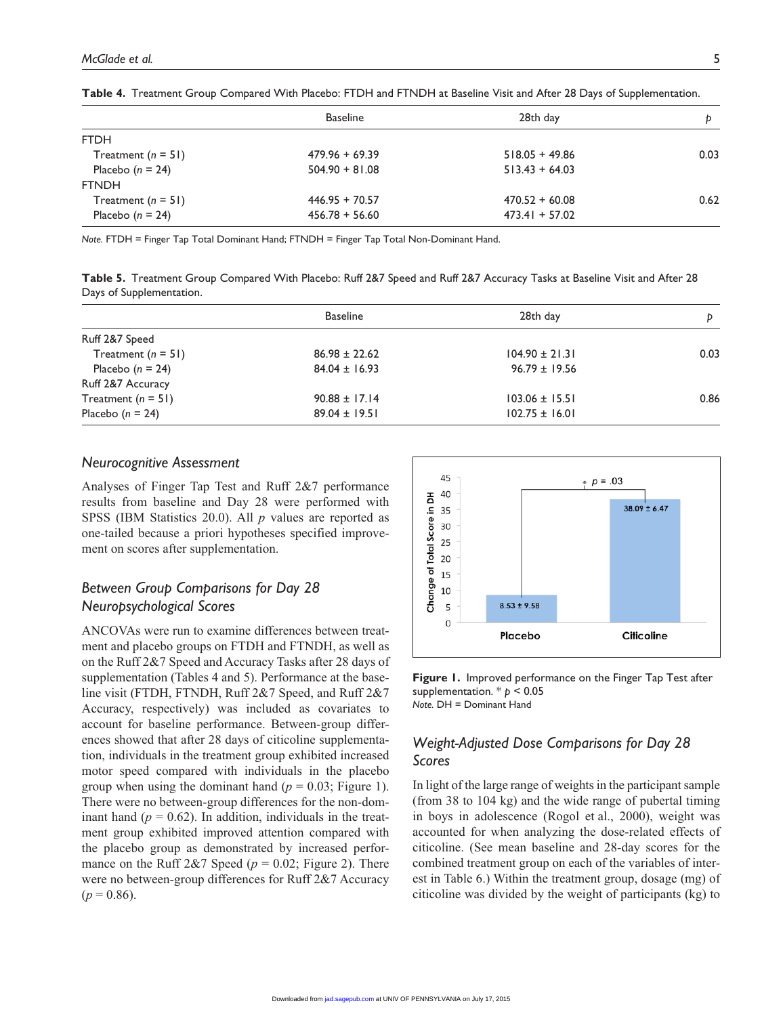|                      | <b>Baseline</b>  | 28th day         | D    |
|----------------------|------------------|------------------|------|
| <b>FTDH</b>          |                  |                  |      |
| Treatment $(n = 51)$ | $479.96 + 69.39$ | $518.05 + 49.86$ | 0.03 |
| Placebo $(n = 24)$   | $504.90 + 81.08$ | $513.43 + 64.03$ |      |
| <b>FTNDH</b>         |                  |                  |      |
| Treatment $(n = 51)$ | $446.95 + 70.57$ | $470.52 + 60.08$ | 0.62 |
| Placebo $(n = 24)$   | $456.78 + 56.60$ | $473.41 + 57.02$ |      |

**Table 4.** Treatment Group Compared With Placebo: FTDH and FTNDH at Baseline Visit and After 28 Days of Supplementation.

*Note.* FTDH = Finger Tap Total Dominant Hand; FTNDH = Finger Tap Total Non-Dominant Hand.

**Table 5.** Treatment Group Compared With Placebo: Ruff 2&7 Speed and Ruff 2&7 Accuracy Tasks at Baseline Visit and After 28 Days of Supplementation.

| <b>Baseline</b>   | 28th day           | Þ    |
|-------------------|--------------------|------|
|                   |                    |      |
| $86.98 \pm 22.62$ | $104.90 \pm 21.31$ | 0.03 |
| $84.04 \pm 16.93$ | $96.79 \pm 19.56$  |      |
|                   |                    |      |
| $90.88 \pm 17.14$ | $103.06 \pm 15.51$ | 0.86 |
| $89.04 \pm 19.51$ | $102.75 \pm 16.01$ |      |
|                   |                    |      |

#### *Neurocognitive Assessment*

Analyses of Finger Tap Test and Ruff 2&7 performance results from baseline and Day 28 were performed with SPSS (IBM Statistics 20.0). All *p* values are reported as one-tailed because a priori hypotheses specified improvement on scores after supplementation.

# *Between Group Comparisons for Day 28 Neuropsychological Scores*

ANCOVAs were run to examine differences between treatment and placebo groups on FTDH and FTNDH, as well as on the Ruff 2&7 Speed and Accuracy Tasks after 28 days of supplementation (Tables 4 and 5). Performance at the baseline visit (FTDH, FTNDH, Ruff 2&7 Speed, and Ruff 2&7 Accuracy, respectively) was included as covariates to account for baseline performance. Between-group differences showed that after 28 days of citicoline supplementation, individuals in the treatment group exhibited increased motor speed compared with individuals in the placebo group when using the dominant hand  $(p = 0.03;$  Figure 1). There were no between-group differences for the non-dominant hand  $(p = 0.62)$ . In addition, individuals in the treatment group exhibited improved attention compared with the placebo group as demonstrated by increased performance on the Ruff 2&7 Speed ( $p = 0.02$ ; Figure 2). There were no between-group differences for Ruff 2&7 Accuracy  $(p = 0.86)$ .



**Figure 1.** Improved performance on the Finger Tap Test after supplementation. \* *p* < 0.05 *Note.* DH = Dominant Hand

# *Weight-Adjusted Dose Comparisons for Day 28 Scores*

In light of the large range of weights in the participant sample (from 38 to 104 kg) and the wide range of pubertal timing in boys in adolescence (Rogol et al., 2000), weight was accounted for when analyzing the dose-related effects of citicoline. (See mean baseline and 28-day scores for the combined treatment group on each of the variables of interest in Table 6.) Within the treatment group, dosage (mg) of citicoline was divided by the weight of participants (kg) to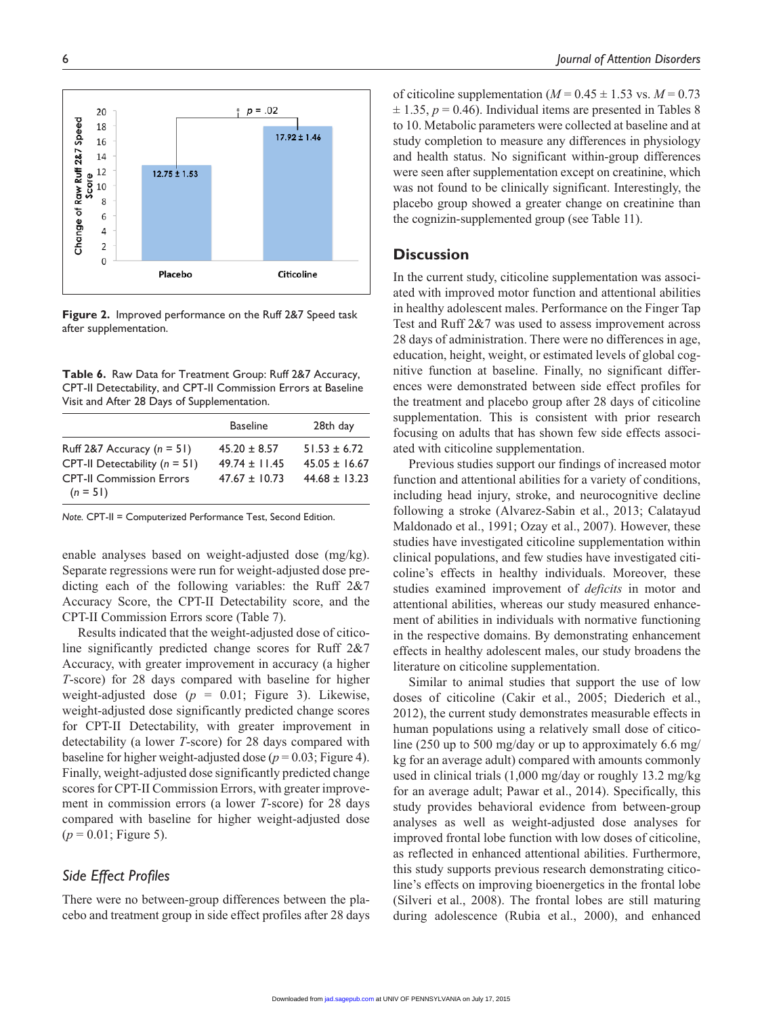of citicoline supplementation ( $M = 0.45 \pm 1.53$  vs.  $M = 0.73$  $\pm$  1.35,  $p = 0.46$ ). Individual items are presented in Tables 8 to 10. Metabolic parameters were collected at baseline and at study completion to measure any differences in physiology and health status. No significant within-group differences were seen after supplementation except on creatinine, which was not found to be clinically significant. Interestingly, the placebo group showed a greater change on creatinine than the cognizin-supplemented group (see Table 11).

## **Discussion**

In the current study, citicoline supplementation was associated with improved motor function and attentional abilities in healthy adolescent males. Performance on the Finger Tap Test and Ruff 2&7 was used to assess improvement across 28 days of administration. There were no differences in age, education, height, weight, or estimated levels of global cognitive function at baseline. Finally, no significant differences were demonstrated between side effect profiles for the treatment and placebo group after 28 days of citicoline supplementation. This is consistent with prior research focusing on adults that has shown few side effects associated with citicoline supplementation.

Previous studies support our findings of increased motor function and attentional abilities for a variety of conditions, including head injury, stroke, and neurocognitive decline following a stroke (Alvarez-Sabin et al., 2013; Calatayud Maldonado et al., 1991; Ozay et al., 2007). However, these studies have investigated citicoline supplementation within clinical populations, and few studies have investigated citicoline's effects in healthy individuals. Moreover, these studies examined improvement of *deficits* in motor and attentional abilities, whereas our study measured enhancement of abilities in individuals with normative functioning in the respective domains. By demonstrating enhancement effects in healthy adolescent males, our study broadens the literature on citicoline supplementation.

Similar to animal studies that support the use of low doses of citicoline (Cakir et al., 2005; Diederich et al., 2012), the current study demonstrates measurable effects in human populations using a relatively small dose of citicoline (250 up to 500 mg/day or up to approximately 6.6 mg/ kg for an average adult) compared with amounts commonly used in clinical trials (1,000 mg/day or roughly 13.2 mg/kg for an average adult; Pawar et al., 2014). Specifically, this study provides behavioral evidence from between-group analyses as well as weight-adjusted dose analyses for improved frontal lobe function with low doses of citicoline, as reflected in enhanced attentional abilities. Furthermore, this study supports previous research demonstrating citicoline's effects on improving bioenergetics in the frontal lobe (Silveri et al., 2008). The frontal lobes are still maturing during adolescence (Rubia et al., 2000), and enhanced

**Figure 2.** Improved performance on the Ruff 2&7 Speed task after supplementation.

**Table 6.** Raw Data for Treatment Group: Ruff 2&7 Accuracy, CPT-II Detectability, and CPT-II Commission Errors at Baseline Visit and After 28 Days of Supplementation.

|                                 | ---------         |                   |
|---------------------------------|-------------------|-------------------|
| Ruff 2&7 Accuracy $(n = 51)$    | $45.20 \pm 8.57$  | $51.53 \pm 6.72$  |
| CPT-II Detectability $(n = 51)$ | $49.74 \pm 11.45$ | $45.05 \pm 16.67$ |
| <b>CPT-II Commission Errors</b> | $47.67 + 10.73$   | $44.68 \pm 13.23$ |
| $(n = 51)$                      |                   |                   |

Baseline 28th day

*Note.* CPT-II = Computerized Performance Test, Second Edition.

enable analyses based on weight-adjusted dose (mg/kg). Separate regressions were run for weight-adjusted dose predicting each of the following variables: the Ruff 2&7 Accuracy Score, the CPT-II Detectability score, and the CPT-II Commission Errors score (Table 7).

Results indicated that the weight-adjusted dose of citicoline significantly predicted change scores for Ruff 2&7 Accuracy, with greater improvement in accuracy (a higher *T*-score) for 28 days compared with baseline for higher weight-adjusted dose  $(p = 0.01;$  Figure 3). Likewise, weight-adjusted dose significantly predicted change scores for CPT-II Detectability, with greater improvement in detectability (a lower *T*-score) for 28 days compared with baseline for higher weight-adjusted dose  $(p = 0.03;$  Figure 4). Finally, weight-adjusted dose significantly predicted change scores for CPT-II Commission Errors, with greater improvement in commission errors (a lower *T*-score) for 28 days compared with baseline for higher weight-adjusted dose  $(p = 0.01;$  Figure 5).

# *Side Effect Profiles*

There were no between-group differences between the placebo and treatment group in side effect profiles after 28 days

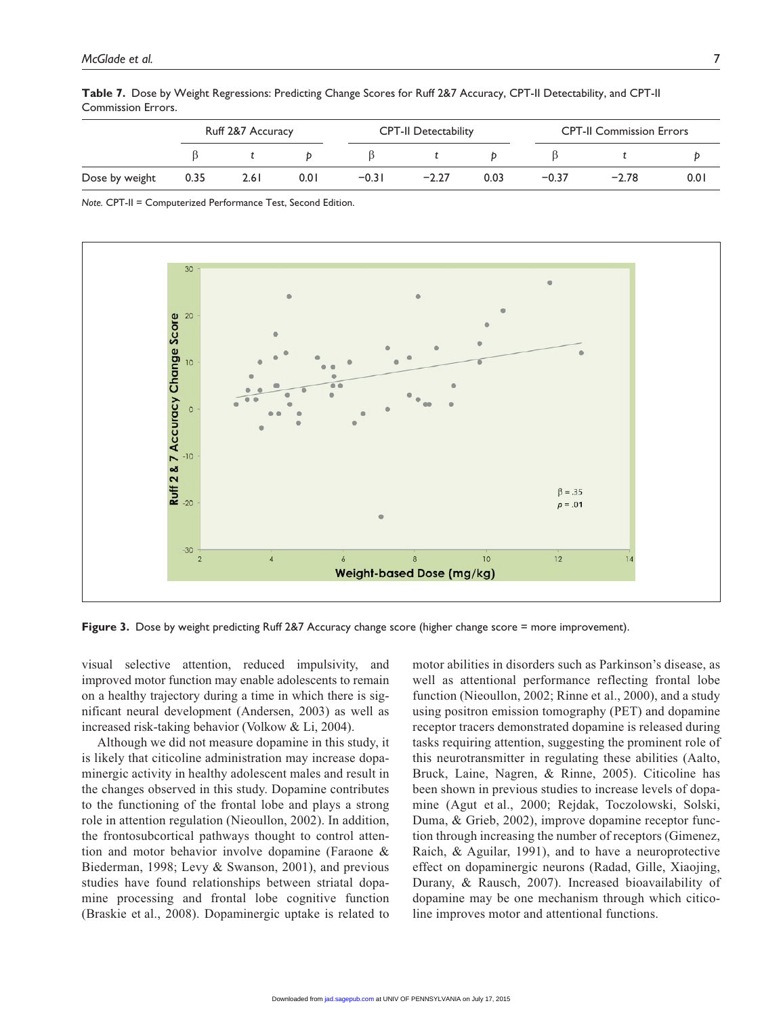|                |      | Ruff 2&7 Accuracy |      |         | <b>CPT-II Detectability</b> |      |         | <b>CPT-II Commission Errors</b> |      |  |
|----------------|------|-------------------|------|---------|-----------------------------|------|---------|---------------------------------|------|--|
|                |      |                   |      |         |                             |      |         |                                 |      |  |
| Dose by weight | 0.35 | 2.6 L             | 0.01 | $-0.31$ | $-2.27$                     | 0.03 | $-0.37$ | $-2.78$                         | 0.01 |  |

**Table 7.** Dose by Weight Regressions: Predicting Change Scores for Ruff 2&7 Accuracy, CPT-II Detectability, and CPT-II Commission Errors.

*Note.* CPT-II = Computerized Performance Test, Second Edition.



**Figure 3.** Dose by weight predicting Ruff 2&7 Accuracy change score (higher change score = more improvement).

visual selective attention, reduced impulsivity, and improved motor function may enable adolescents to remain on a healthy trajectory during a time in which there is significant neural development (Andersen, 2003) as well as increased risk-taking behavior (Volkow & Li, 2004).

Although we did not measure dopamine in this study, it is likely that citicoline administration may increase dopaminergic activity in healthy adolescent males and result in the changes observed in this study. Dopamine contributes to the functioning of the frontal lobe and plays a strong role in attention regulation (Nieoullon, 2002). In addition, the frontosubcortical pathways thought to control attention and motor behavior involve dopamine (Faraone & Biederman, 1998; Levy & Swanson, 2001), and previous studies have found relationships between striatal dopamine processing and frontal lobe cognitive function (Braskie et al., 2008). Dopaminergic uptake is related to

motor abilities in disorders such as Parkinson's disease, as well as attentional performance reflecting frontal lobe function (Nieoullon, 2002; Rinne et al., 2000), and a study using positron emission tomography (PET) and dopamine receptor tracers demonstrated dopamine is released during tasks requiring attention, suggesting the prominent role of this neurotransmitter in regulating these abilities (Aalto, Bruck, Laine, Nagren, & Rinne, 2005). Citicoline has been shown in previous studies to increase levels of dopamine (Agut et al., 2000; Rejdak, Toczolowski, Solski, Duma, & Grieb, 2002), improve dopamine receptor function through increasing the number of receptors (Gimenez, Raich, & Aguilar, 1991), and to have a neuroprotective effect on dopaminergic neurons (Radad, Gille, Xiaojing, Durany, & Rausch, 2007). Increased bioavailability of dopamine may be one mechanism through which citicoline improves motor and attentional functions.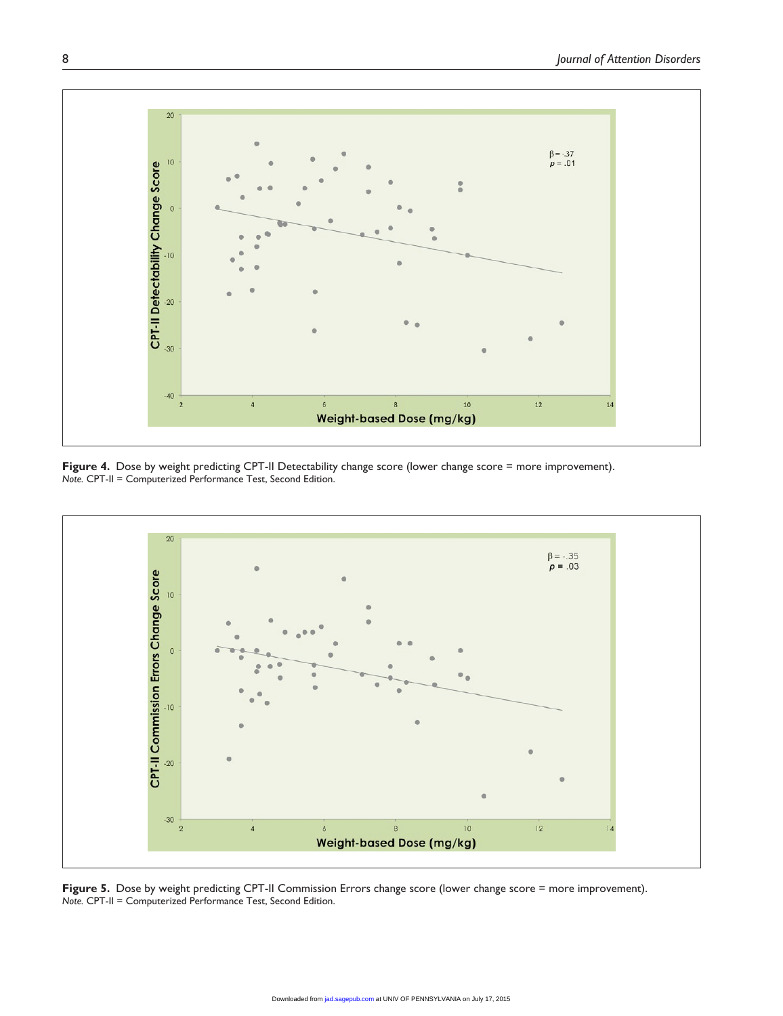

Figure 4. Dose by weight predicting CPT-II Detectability change score (lower change score = more improvement). *Note.* CPT-II = Computerized Performance Test, Second Edition.



Figure 5. Dose by weight predicting CPT-II Commission Errors change score (lower change score = more improvement). *Note.* CPT-II = Computerized Performance Test, Second Edition.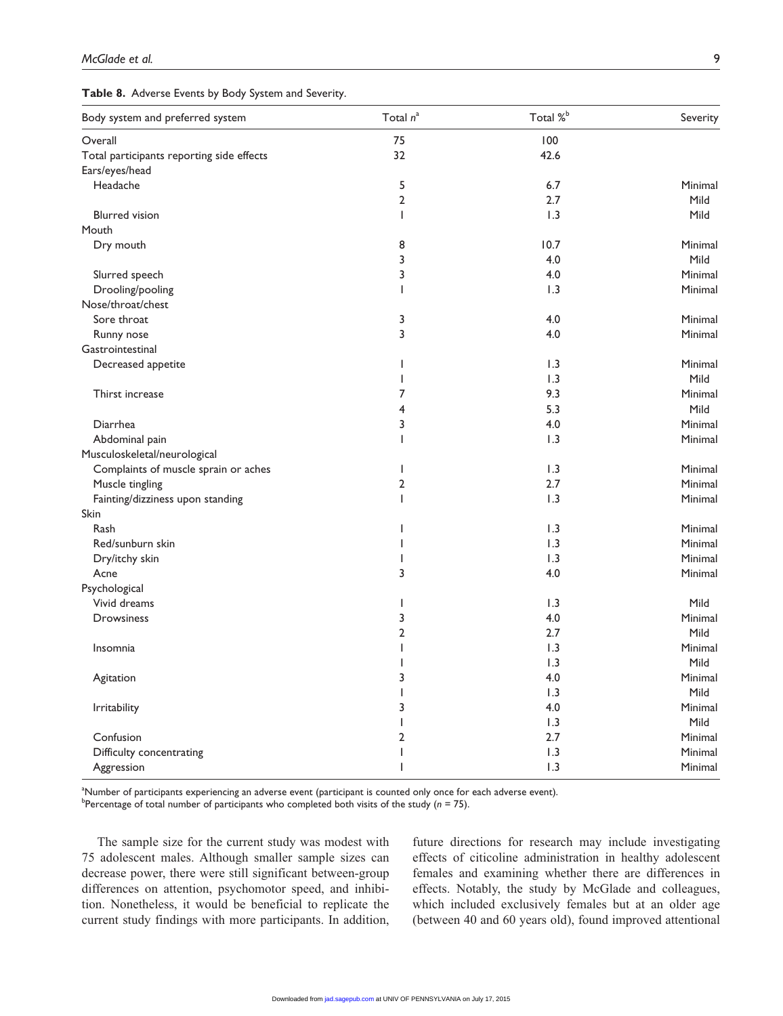| Table 8. Adverse Events by Body System and Severity. |  |  |  |  |  |  |  |  |
|------------------------------------------------------|--|--|--|--|--|--|--|--|
|------------------------------------------------------|--|--|--|--|--|--|--|--|

| Body system and preferred system          | Total $n^a$              | Total % <sup>b</sup> | Severity |
|-------------------------------------------|--------------------------|----------------------|----------|
| Overall                                   | 75                       | 100                  |          |
| Total participants reporting side effects | 32                       | 42.6                 |          |
| Ears/eyes/head                            |                          |                      |          |
| Headache                                  | 5                        | 6.7                  | Minimal  |
|                                           | $\overline{2}$           | 2.7                  | Mild     |
| <b>Blurred</b> vision                     | $\mathbf{I}$             | 1.3                  | Mild     |
| Mouth                                     |                          |                      |          |
| Dry mouth                                 | 8                        | 10.7                 | Minimal  |
|                                           | 3                        | 4.0                  | Mild     |
| Slurred speech                            | 3                        | 4.0                  | Minimal  |
| Drooling/pooling                          | T                        | 1.3                  | Minimal  |
| Nose/throat/chest                         |                          |                      |          |
| Sore throat                               | 3                        | 4.0                  | Minimal  |
| Runny nose                                | 3                        | 4.0                  | Minimal  |
| Gastrointestinal                          |                          |                      |          |
| Decreased appetite                        | T                        | 1.3                  | Minimal  |
|                                           | T                        | 1.3                  | Mild     |
| Thirst increase                           | 7                        | 9.3                  | Minimal  |
|                                           | 4                        | 5.3                  | Mild     |
| Diarrhea                                  | 3                        | 4.0                  | Minimal  |
|                                           | $\overline{1}$           | 1.3                  | Minimal  |
| Abdominal pain                            |                          |                      |          |
| Musculoskeletal/neurological              |                          |                      |          |
| Complaints of muscle sprain or aches      | I                        | 1.3                  | Minimal  |
| Muscle tingling                           | 2                        | 2.7                  | Minimal  |
| Fainting/dizziness upon standing          | $\mathsf{I}$             | 1.3                  | Minimal  |
| Skin                                      |                          |                      |          |
| Rash                                      | $\overline{\phantom{a}}$ | 1.3                  | Minimal  |
| Red/sunburn skin                          |                          | 1.3                  | Minimal  |
| Dry/itchy skin                            | ı                        | 1.3                  | Minimal  |
| Acne                                      | 3                        | 4.0                  | Minimal  |
| Psychological                             |                          |                      |          |
| Vivid dreams                              | $\mathsf{I}$             | 1.3                  | Mild     |
| Drowsiness                                | 3                        | 4.0                  | Minimal  |
|                                           | 2                        | 2.7                  | Mild     |
| Insomnia                                  | $\mathsf{I}$             | 1.3                  | Minimal  |
|                                           | L                        | 1.3                  | Mild     |
| Agitation                                 | 3                        | 4.0                  | Minimal  |
|                                           | T                        | 1.3                  | Mild     |
| <b>Irritability</b>                       | 3                        | 4.0                  | Minimal  |
|                                           | T                        | 1.3                  | Mild     |
| Confusion                                 | $\overline{2}$           | 2.7                  | Minimal  |
| Difficulty concentrating                  | ı                        | 1.3                  | Minimal  |
| Aggression                                | T                        | 1.3                  | Minimal  |

a Number of participants experiencing an adverse event (participant is counted only once for each adverse event). b Percentage of total number of participants who completed both visits of the study (*n* = 75).

The sample size for the current study was modest with 75 adolescent males. Although smaller sample sizes can decrease power, there were still significant between-group differences on attention, psychomotor speed, and inhibition. Nonetheless, it would be beneficial to replicate the current study findings with more participants. In addition, future directions for research may include investigating effects of citicoline administration in healthy adolescent females and examining whether there are differences in effects. Notably, the study by McGlade and colleagues, which included exclusively females but at an older age (between 40 and 60 years old), found improved attentional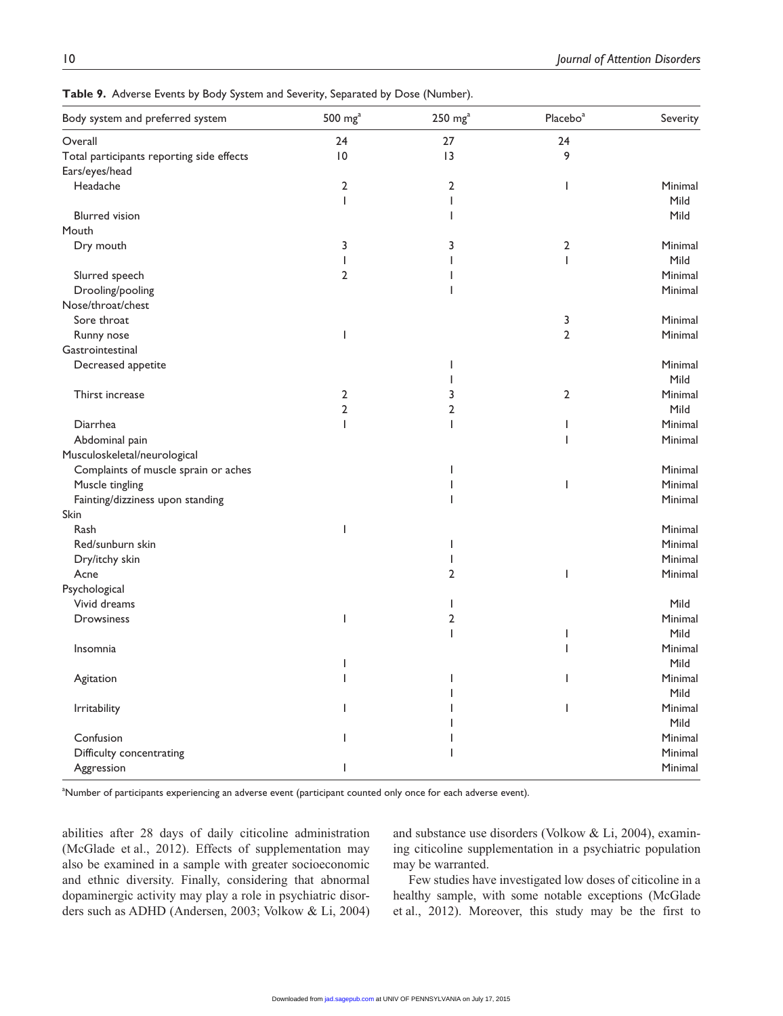| Body system and preferred system          | 500 $mga$       | $250 \text{ mg}^{\text{a}}$ | Placebo <sup>a</sup> | Severity |
|-------------------------------------------|-----------------|-----------------------------|----------------------|----------|
| Overall                                   | 24              | 27                          | 24                   |          |
| Total participants reporting side effects | $\overline{10}$ | 3                           | 9                    |          |
| Ears/eyes/head                            |                 |                             |                      |          |
| Headache                                  | 2               | 2                           | <b>I</b>             | Minimal  |
|                                           | $\mathbf{I}$    |                             |                      | Mild     |
| <b>Blurred</b> vision                     |                 |                             |                      | Mild     |
| Mouth                                     |                 |                             |                      |          |
| Dry mouth                                 | 3               | 3                           | 2                    | Minimal  |
|                                           | <b>I</b>        |                             | $\mathbf{I}$         | Mild     |
| Slurred speech                            | 2               |                             |                      | Minimal  |
| Drooling/pooling                          |                 |                             |                      | Minimal  |
| Nose/throat/chest                         |                 |                             |                      |          |
| Sore throat                               |                 |                             | 3                    | Minimal  |
| Runny nose                                | ı               |                             | 2                    | Minimal  |
| Gastrointestinal                          |                 |                             |                      |          |
| Decreased appetite                        |                 |                             |                      | Minimal  |
|                                           |                 |                             |                      | Mild     |
| Thirst increase                           | 2               | 3                           | 2                    | Minimal  |
|                                           | $\overline{2}$  | 2                           |                      | Mild     |
| Diarrhea                                  | ı               | ı                           |                      | Minimal  |
| Abdominal pain                            |                 |                             |                      | Minimal  |
| Musculoskeletal/neurological              |                 |                             |                      |          |
| Complaints of muscle sprain or aches      |                 |                             |                      | Minimal  |
| Muscle tingling                           |                 |                             |                      | Minimal  |
| Fainting/dizziness upon standing          |                 |                             |                      | Minimal  |
| Skin                                      |                 |                             |                      |          |
| Rash                                      |                 |                             |                      | Minimal  |
| Red/sunburn skin                          |                 |                             |                      | Minimal  |
| Dry/itchy skin                            |                 |                             |                      | Minimal  |
| Acne                                      |                 | 2                           |                      | Minimal  |
| Psychological                             |                 |                             |                      |          |
| Vivid dreams                              |                 |                             |                      | Mild     |
| Drowsiness                                | ı               | 2                           |                      | Minimal  |
|                                           |                 | I                           |                      | Mild     |
| Insomnia                                  |                 |                             |                      | Minimal  |
|                                           |                 |                             |                      | Mild     |
| Agitation                                 |                 |                             |                      | Minimal  |
|                                           |                 |                             |                      | Mild     |
| Irritability                              |                 |                             |                      | Minimal  |
|                                           |                 |                             |                      | Mild     |
| Confusion                                 |                 |                             |                      | Minimal  |
| Difficulty concentrating                  |                 |                             |                      | Minimal  |
| Aggression                                |                 |                             |                      | Minimal  |

**Table 9.** Adverse Events by Body System and Severity, Separated by Dose (Number).

a Number of participants experiencing an adverse event (participant counted only once for each adverse event).

abilities after 28 days of daily citicoline administration (McGlade et al., 2012). Effects of supplementation may also be examined in a sample with greater socioeconomic and ethnic diversity. Finally, considering that abnormal dopaminergic activity may play a role in psychiatric disorders such as ADHD (Andersen, 2003; Volkow & Li, 2004) and substance use disorders (Volkow & Li, 2004), examining citicoline supplementation in a psychiatric population may be warranted.

Few studies have investigated low doses of citicoline in a healthy sample, with some notable exceptions (McGlade et al., 2012). Moreover, this study may be the first to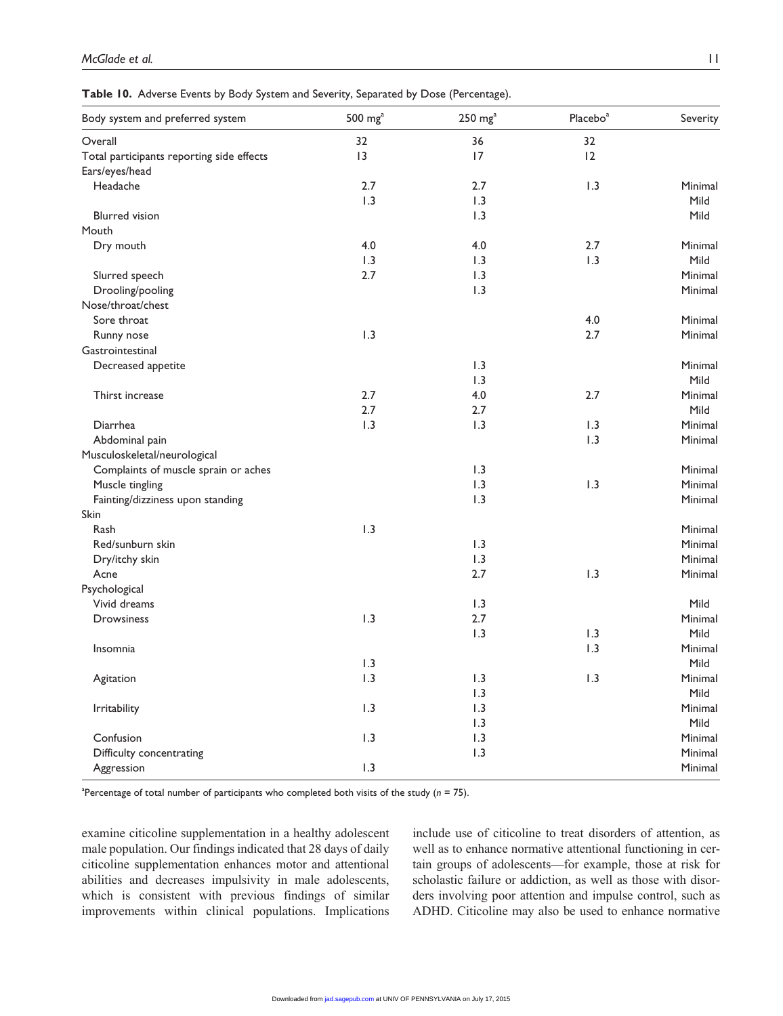**Table 10.** Adverse Events by Body System and Severity, Separated by Dose (Percentage).

| Body system and preferred system          | $500 \, \text{mg}^{\text{a}}$ | $250 \, \text{mg}^{\text{a}}$ | Placebo <sup>a</sup> | Severity |
|-------------------------------------------|-------------------------------|-------------------------------|----------------------|----------|
| Overall                                   | 32                            | 36                            | 32                   |          |
| Total participants reporting side effects | 13                            | 17                            | 12                   |          |
| Ears/eyes/head                            |                               |                               |                      |          |
| Headache                                  | 2.7                           | 2.7                           | 1.3                  | Minimal  |
|                                           | 1.3                           | 1.3                           |                      | Mild     |
| <b>Blurred</b> vision                     |                               | 1.3                           |                      | Mild     |
| Mouth                                     |                               |                               |                      |          |
| Dry mouth                                 | 4.0                           | 4.0                           | 2.7                  | Minimal  |
|                                           | 1.3                           | 1.3                           | 1.3                  | Mild     |
| Slurred speech                            | 2.7                           | 1.3                           |                      | Minimal  |
| Drooling/pooling                          |                               | 1.3                           |                      | Minimal  |
| Nose/throat/chest                         |                               |                               |                      |          |
| Sore throat                               |                               |                               | 4.0                  | Minimal  |
| Runny nose                                | 1.3                           |                               | 2.7                  | Minimal  |
| Gastrointestinal                          |                               |                               |                      |          |
| Decreased appetite                        |                               | 1.3                           |                      | Minimal  |
|                                           |                               | 1.3                           |                      | Mild     |
| Thirst increase                           | 2.7                           | 4.0                           | 2.7                  | Minimal  |
|                                           | 2.7                           | 2.7                           |                      | Mild     |
| Diarrhea                                  | 1.3                           | 1.3                           | 1.3                  | Minimal  |
| Abdominal pain                            |                               |                               | 1.3                  | Minimal  |
| Musculoskeletal/neurological              |                               |                               |                      |          |
| Complaints of muscle sprain or aches      |                               | 1.3                           |                      | Minimal  |
| Muscle tingling                           |                               | 1.3                           | 1.3                  | Minimal  |
| Fainting/dizziness upon standing          |                               | 1.3                           |                      | Minimal  |
| Skin                                      |                               |                               |                      |          |
| Rash                                      | 1.3                           |                               |                      | Minimal  |
| Red/sunburn skin                          |                               | 1.3                           |                      | Minimal  |
| Dry/itchy skin                            |                               | 1.3                           |                      | Minimal  |
| Acne                                      |                               | 2.7                           | 1.3                  | Minimal  |
| Psychological                             |                               |                               |                      |          |
| Vivid dreams                              |                               | 1.3                           |                      | Mild     |
| <b>Drowsiness</b>                         | 1.3                           | 2.7                           |                      | Minimal  |
|                                           |                               | 1.3                           | 1.3                  | Mild     |
| Insomnia                                  |                               |                               | 1.3                  | Minimal  |
|                                           | 1.3                           |                               |                      | Mild     |
| Agitation                                 | 1.3                           | 1.3                           | 1.3                  | Minimal  |
|                                           |                               | 1.3                           |                      | Mild     |
| Irritability                              | 1.3                           | 1.3                           |                      | Minimal  |
|                                           |                               | 1.3                           |                      | Mild     |
| Confusion                                 | 1.3                           | 1.3                           |                      | Minimal  |
| Difficulty concentrating                  |                               | 1.3                           |                      | Minimal  |
| Aggression                                | 1.3                           |                               |                      | Minimal  |
|                                           |                               |                               |                      |          |

a Percentage of total number of participants who completed both visits of the study (*n* = 75).

examine citicoline supplementation in a healthy adolescent male population. Our findings indicated that 28 days of daily citicoline supplementation enhances motor and attentional abilities and decreases impulsivity in male adolescents, which is consistent with previous findings of similar improvements within clinical populations. Implications include use of citicoline to treat disorders of attention, as well as to enhance normative attentional functioning in certain groups of adolescents—for example, those at risk for scholastic failure or addiction, as well as those with disorders involving poor attention and impulse control, such as ADHD. Citicoline may also be used to enhance normative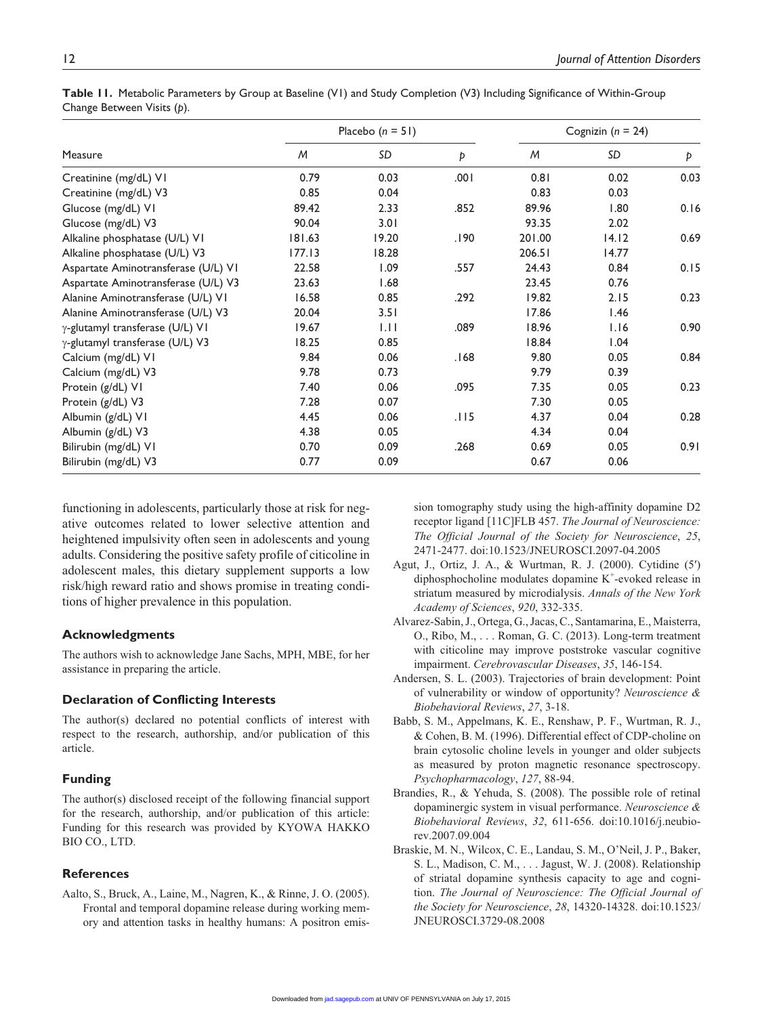| Measure                             | Placebo $(n = 51)$ |       |      | Cognizin ( $n = 24$ ) |       |      |
|-------------------------------------|--------------------|-------|------|-----------------------|-------|------|
|                                     | M                  | SD    | Þ    | M                     | SD    | Þ    |
| Creatinine (mg/dL) VI               | 0.79               | 0.03  | .001 | 0.81                  | 0.02  | 0.03 |
| Creatinine (mg/dL) V3               | 0.85               | 0.04  |      | 0.83                  | 0.03  |      |
| Glucose (mg/dL) VI                  | 89.42              | 2.33  | .852 | 89.96                 | 1.80  | 0.16 |
| Glucose (mg/dL) V3                  | 90.04              | 3.01  |      | 93.35                 | 2.02  |      |
| Alkaline phosphatase (U/L) VI       | 181.63             | 19.20 | .190 | 201.00                | 14.12 | 0.69 |
| Alkaline phosphatase (U/L) V3       | 177.13             | 18.28 |      | 206.51                | 14.77 |      |
| Aspartate Aminotransferase (U/L) VI | 22.58              | 1.09  | .557 | 24.43                 | 0.84  | 0.15 |
| Aspartate Aminotransferase (U/L) V3 | 23.63              | 1.68  |      | 23.45                 | 0.76  |      |
| Alanine Aminotransferase (U/L) VI   | 16.58              | 0.85  | .292 | 19.82                 | 2.15  | 0.23 |
| Alanine Aminotransferase (U/L) V3   | 20.04              | 3.51  |      | 17.86                 | 1.46  |      |
| γ-glutamyl transferase (U/L) VI     | 19.67              | 1.11  | .089 | 18.96                 | 1.16  | 0.90 |
| γ-glutamyl transferase (U/L) V3     | 18.25              | 0.85  |      | 18.84                 | 1.04  |      |
| Calcium (mg/dL) VI                  | 9.84               | 0.06  | 168. | 9.80                  | 0.05  | 0.84 |
| Calcium (mg/dL) V3                  | 9.78               | 0.73  |      | 9.79                  | 0.39  |      |
| Protein (g/dL) VI                   | 7.40               | 0.06  | .095 | 7.35                  | 0.05  | 0.23 |
| Protein (g/dL) V3                   | 7.28               | 0.07  |      | 7.30                  | 0.05  |      |
| Albumin (g/dL) VI                   | 4.45               | 0.06  | .115 | 4.37                  | 0.04  | 0.28 |
| Albumin (g/dL) V3                   | 4.38               | 0.05  |      | 4.34                  | 0.04  |      |
| Bilirubin (mg/dL) VI                | 0.70               | 0.09  | .268 | 0.69                  | 0.05  | 0.91 |
| Bilirubin (mg/dL) V3                | 0.77               | 0.09  |      | 0.67                  | 0.06  |      |

**Table 11.** Metabolic Parameters by Group at Baseline (V1) and Study Completion (V3) Including Significance of Within-Group Change Between Visits (*p*).

functioning in adolescents, particularly those at risk for negative outcomes related to lower selective attention and heightened impulsivity often seen in adolescents and young adults. Considering the positive safety profile of citicoline in adolescent males, this dietary supplement supports a low risk/high reward ratio and shows promise in treating conditions of higher prevalence in this population.

#### **Acknowledgments**

The authors wish to acknowledge Jane Sachs, MPH, MBE, for her assistance in preparing the article.

#### **Declaration of Conflicting Interests**

The author(s) declared no potential conflicts of interest with respect to the research, authorship, and/or publication of this article.

#### **Funding**

The author(s) disclosed receipt of the following financial support for the research, authorship, and/or publication of this article: Funding for this research was provided by KYOWA HAKKO BIO CO., LTD.

#### **References**

Aalto, S., Bruck, A., Laine, M., Nagren, K., & Rinne, J. O. (2005). Frontal and temporal dopamine release during working memory and attention tasks in healthy humans: A positron emission tomography study using the high-affinity dopamine D2 receptor ligand [11C]FLB 457. *The Journal of Neuroscience: The Official Journal of the Society for Neuroscience*, *25*, 2471-2477. doi:10.1523/JNEUROSCI.2097-04.2005

- Agut, J., Ortiz, J. A., & Wurtman, R. J. (2000). Cytidine (5′) diphosphocholine modulates dopamine K<sup>+</sup>-evoked release in striatum measured by microdialysis. *Annals of the New York Academy of Sciences*, *920*, 332-335.
- Alvarez-Sabin, J., Ortega, G., Jacas, C., Santamarina, E., Maisterra, O., Ribo, M., . . . Roman, G. C. (2013). Long-term treatment with citicoline may improve poststroke vascular cognitive impairment. *Cerebrovascular Diseases*, *35*, 146-154.
- Andersen, S. L. (2003). Trajectories of brain development: Point of vulnerability or window of opportunity? *Neuroscience & Biobehavioral Reviews*, *27*, 3-18.
- Babb, S. M., Appelmans, K. E., Renshaw, P. F., Wurtman, R. J., & Cohen, B. M. (1996). Differential effect of CDP-choline on brain cytosolic choline levels in younger and older subjects as measured by proton magnetic resonance spectroscopy. *Psychopharmacology*, *127*, 88-94.
- Brandies, R., & Yehuda, S. (2008). The possible role of retinal dopaminergic system in visual performance. *Neuroscience & Biobehavioral Reviews*, *32*, 611-656. doi:10.1016/j.neubiorev.2007.09.004
- Braskie, M. N., Wilcox, C. E., Landau, S. M., O'Neil, J. P., Baker, S. L., Madison, C. M., . . . Jagust, W. J. (2008). Relationship of striatal dopamine synthesis capacity to age and cognition. *The Journal of Neuroscience: The Official Journal of the Society for Neuroscience*, *28*, 14320-14328. doi:10.1523/ JNEUROSCI.3729-08.2008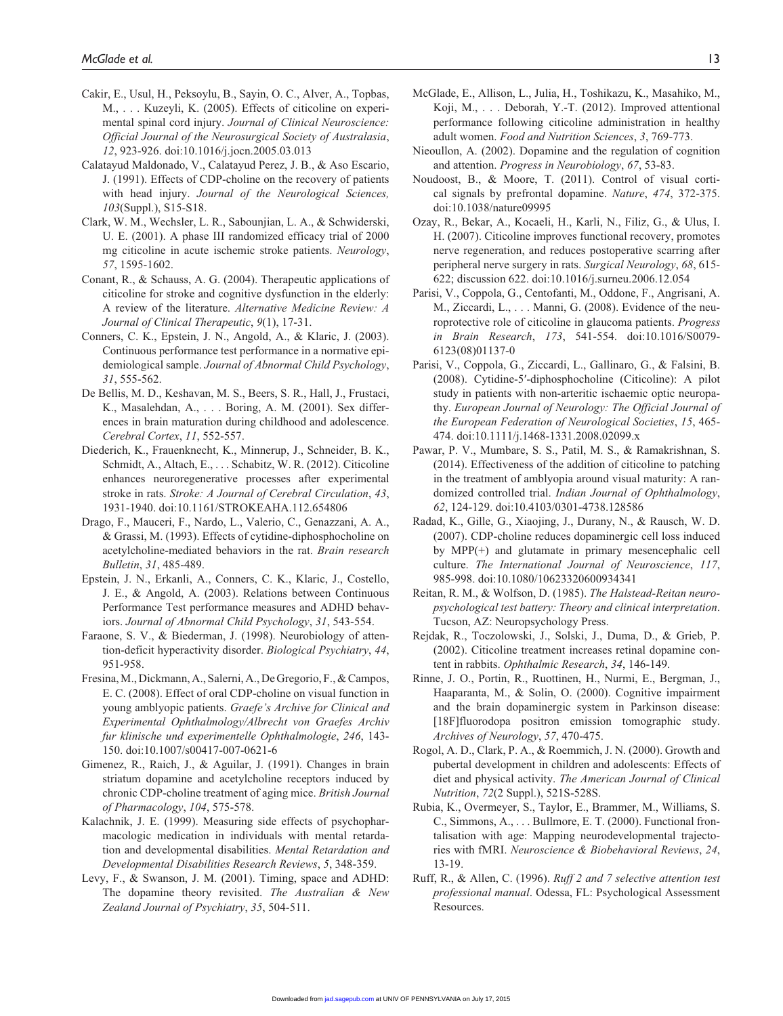- Cakir, E., Usul, H., Peksoylu, B., Sayin, O. C., Alver, A., Topbas, M., . . . Kuzeyli, K. (2005). Effects of citicoline on experimental spinal cord injury. *Journal of Clinical Neuroscience: Official Journal of the Neurosurgical Society of Australasia*, *12*, 923-926. doi:10.1016/j.jocn.2005.03.013
- Calatayud Maldonado, V., Calatayud Perez, J. B., & Aso Escario, J. (1991). Effects of CDP-choline on the recovery of patients with head injury. *Journal of the Neurological Sciences, 103*(Suppl.), S15-S18.
- Clark, W. M., Wechsler, L. R., Sabounjian, L. A., & Schwiderski, U. E. (2001). A phase III randomized efficacy trial of 2000 mg citicoline in acute ischemic stroke patients. *Neurology*, *57*, 1595-1602.
- Conant, R., & Schauss, A. G. (2004). Therapeutic applications of citicoline for stroke and cognitive dysfunction in the elderly: A review of the literature. *Alternative Medicine Review: A Journal of Clinical Therapeutic*, *9*(1), 17-31.
- Conners, C. K., Epstein, J. N., Angold, A., & Klaric, J. (2003). Continuous performance test performance in a normative epidemiological sample. *Journal of Abnormal Child Psychology*, *31*, 555-562.
- De Bellis, M. D., Keshavan, M. S., Beers, S. R., Hall, J., Frustaci, K., Masalehdan, A., . . . Boring, A. M. (2001). Sex differences in brain maturation during childhood and adolescence. *Cerebral Cortex*, *11*, 552-557.
- Diederich, K., Frauenknecht, K., Minnerup, J., Schneider, B. K., Schmidt, A., Altach, E., . . . Schabitz, W. R. (2012). Citicoline enhances neuroregenerative processes after experimental stroke in rats. *Stroke: A Journal of Cerebral Circulation*, *43*, 1931-1940. doi:10.1161/STROKEAHA.112.654806
- Drago, F., Mauceri, F., Nardo, L., Valerio, C., Genazzani, A. A., & Grassi, M. (1993). Effects of cytidine-diphosphocholine on acetylcholine-mediated behaviors in the rat. *Brain research Bulletin*, *31*, 485-489.
- Epstein, J. N., Erkanli, A., Conners, C. K., Klaric, J., Costello, J. E., & Angold, A. (2003). Relations between Continuous Performance Test performance measures and ADHD behaviors. *Journal of Abnormal Child Psychology*, *31*, 543-554.
- Faraone, S. V., & Biederman, J. (1998). Neurobiology of attention-deficit hyperactivity disorder. *Biological Psychiatry*, *44*, 951-958.
- Fresina, M., Dickmann, A., Salerni, A., De Gregorio, F., & Campos, E. C. (2008). Effect of oral CDP-choline on visual function in young amblyopic patients. *Graefe's Archive for Clinical and Experimental Ophthalmology/Albrecht von Graefes Archiv fur klinische und experimentelle Ophthalmologie*, *246*, 143- 150. doi:10.1007/s00417-007-0621-6
- Gimenez, R., Raich, J., & Aguilar, J. (1991). Changes in brain striatum dopamine and acetylcholine receptors induced by chronic CDP-choline treatment of aging mice. *British Journal of Pharmacology*, *104*, 575-578.
- Kalachnik, J. E. (1999). Measuring side effects of psychopharmacologic medication in individuals with mental retardation and developmental disabilities. *Mental Retardation and Developmental Disabilities Research Reviews*, *5*, 348-359.
- Levy, F., & Swanson, J. M. (2001). Timing, space and ADHD: The dopamine theory revisited. *The Australian & New Zealand Journal of Psychiatry*, *35*, 504-511.
- McGlade, E., Allison, L., Julia, H., Toshikazu, K., Masahiko, M., Koji, M., . . . Deborah, Y.-T. (2012). Improved attentional performance following citicoline administration in healthy adult women. *Food and Nutrition Sciences*, *3*, 769-773.
- Nieoullon, A. (2002). Dopamine and the regulation of cognition and attention. *Progress in Neurobiology*, *67*, 53-83.
- Noudoost, B., & Moore, T. (2011). Control of visual cortical signals by prefrontal dopamine. *Nature*, *474*, 372-375. doi:10.1038/nature09995
- Ozay, R., Bekar, A., Kocaeli, H., Karli, N., Filiz, G., & Ulus, I. H. (2007). Citicoline improves functional recovery, promotes nerve regeneration, and reduces postoperative scarring after peripheral nerve surgery in rats. *Surgical Neurology*, *68*, 615- 622; discussion 622. doi:10.1016/j.surneu.2006.12.054
- Parisi, V., Coppola, G., Centofanti, M., Oddone, F., Angrisani, A. M., Ziccardi, L., . . . Manni, G. (2008). Evidence of the neuroprotective role of citicoline in glaucoma patients. *Progress in Brain Research*, *173*, 541-554. doi:10.1016/S0079- 6123(08)01137-0
- Parisi, V., Coppola, G., Ziccardi, L., Gallinaro, G., & Falsini, B. (2008). Cytidine-5′-diphosphocholine (Citicoline): A pilot study in patients with non-arteritic ischaemic optic neuropathy. *European Journal of Neurology: The Official Journal of the European Federation of Neurological Societies*, *15*, 465- 474. doi:10.1111/j.1468-1331.2008.02099.x
- Pawar, P. V., Mumbare, S. S., Patil, M. S., & Ramakrishnan, S. (2014). Effectiveness of the addition of citicoline to patching in the treatment of amblyopia around visual maturity: A randomized controlled trial. *Indian Journal of Ophthalmology*, *62*, 124-129. doi:10.4103/0301-4738.128586
- Radad, K., Gille, G., Xiaojing, J., Durany, N., & Rausch, W. D. (2007). CDP-choline reduces dopaminergic cell loss induced by MPP(+) and glutamate in primary mesencephalic cell culture. *The International Journal of Neuroscience*, *117*, 985-998. doi:10.1080/10623320600934341
- Reitan, R. M., & Wolfson, D. (1985). *The Halstead-Reitan neuropsychological test battery: Theory and clinical interpretation*. Tucson, AZ: Neuropsychology Press.
- Rejdak, R., Toczolowski, J., Solski, J., Duma, D., & Grieb, P. (2002). Citicoline treatment increases retinal dopamine content in rabbits. *Ophthalmic Research*, *34*, 146-149.
- Rinne, J. O., Portin, R., Ruottinen, H., Nurmi, E., Bergman, J., Haaparanta, M., & Solin, O. (2000). Cognitive impairment and the brain dopaminergic system in Parkinson disease: [18F]fluorodopa positron emission tomographic study. *Archives of Neurology*, *57*, 470-475.
- Rogol, A. D., Clark, P. A., & Roemmich, J. N. (2000). Growth and pubertal development in children and adolescents: Effects of diet and physical activity. *The American Journal of Clinical Nutrition*, *72*(2 Suppl.), 521S-528S.
- Rubia, K., Overmeyer, S., Taylor, E., Brammer, M., Williams, S. C., Simmons, A., . . . Bullmore, E. T. (2000). Functional frontalisation with age: Mapping neurodevelopmental trajectories with fMRI. *Neuroscience & Biobehavioral Reviews*, *24*, 13-19.
- Ruff, R., & Allen, C. (1996). *Ruff 2 and 7 selective attention test professional manual*. Odessa, FL: Psychological Assessment Resources.